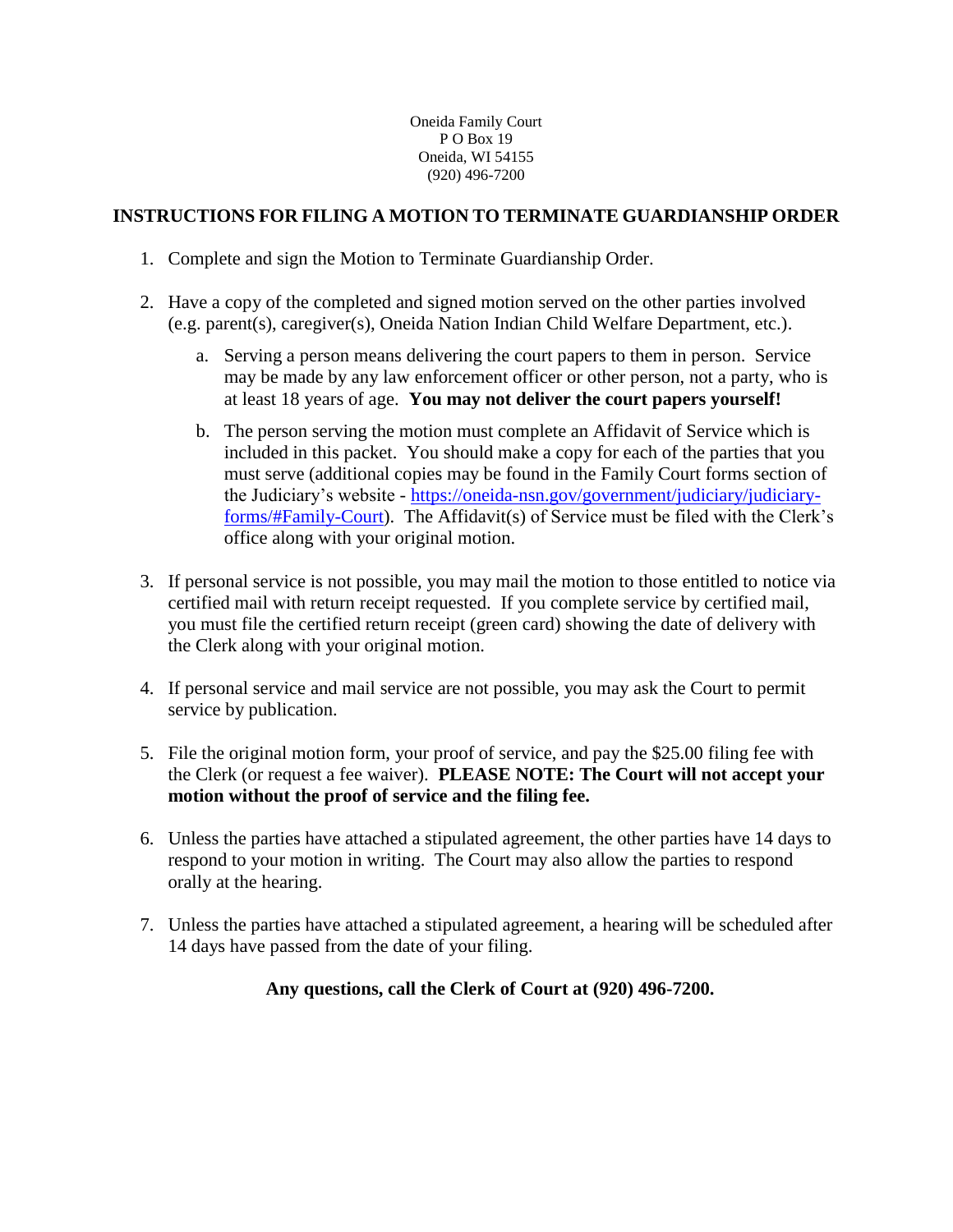## **INSTRUCTIONS FOR FILING A MOTION TO TERMINATE GUARDIANSHIP ORDER**

- 1. Complete and sign the Motion to Terminate Guardianship Order.
- 2. Have a copy of the completed and signed motion served on the other parties involved (e.g. parent(s), caregiver(s), Oneida Nation Indian Child Welfare Department, etc.).
	- a. Serving a person means delivering the court papers to them in person. Service may be made by any law enforcement officer or other person, not a party, who is at least 18 years of age. **You may not deliver the court papers yourself!**
	- b. The person serving the motion must complete an Affidavit of Service which is included in this packet. You should make a copy for each of the parties that you must serve (additional copies may be found in the Family Court forms section of the Judiciary's website - [https://oneida-nsn.gov/government/judiciary/judiciary](https://oneida-nsn.gov/government/judiciary/judiciary-forms/#Family-Court)[forms/#Family-Court\)](https://oneida-nsn.gov/government/judiciary/judiciary-forms/#Family-Court). The Affidavit(s) of Service must be filed with the Clerk's office along with your original motion.
- 3. If personal service is not possible, you may mail the motion to those entitled to notice via certified mail with return receipt requested. If you complete service by certified mail, you must file the certified return receipt (green card) showing the date of delivery with the Clerk along with your original motion.
- 4. If personal service and mail service are not possible, you may ask the Court to permit service by publication.
- 5. File the original motion form, your proof of service, and pay the \$25.00 filing fee with the Clerk (or request a fee waiver). **PLEASE NOTE: The Court will not accept your motion without the proof of service and the filing fee.**
- 6. Unless the parties have attached a stipulated agreement, the other parties have 14 days to respond to your motion in writing. The Court may also allow the parties to respond orally at the hearing.
- 7. Unless the parties have attached a stipulated agreement, a hearing will be scheduled after 14 days have passed from the date of your filing.

## **Any questions, call the Clerk of Court at (920) 496-7200.**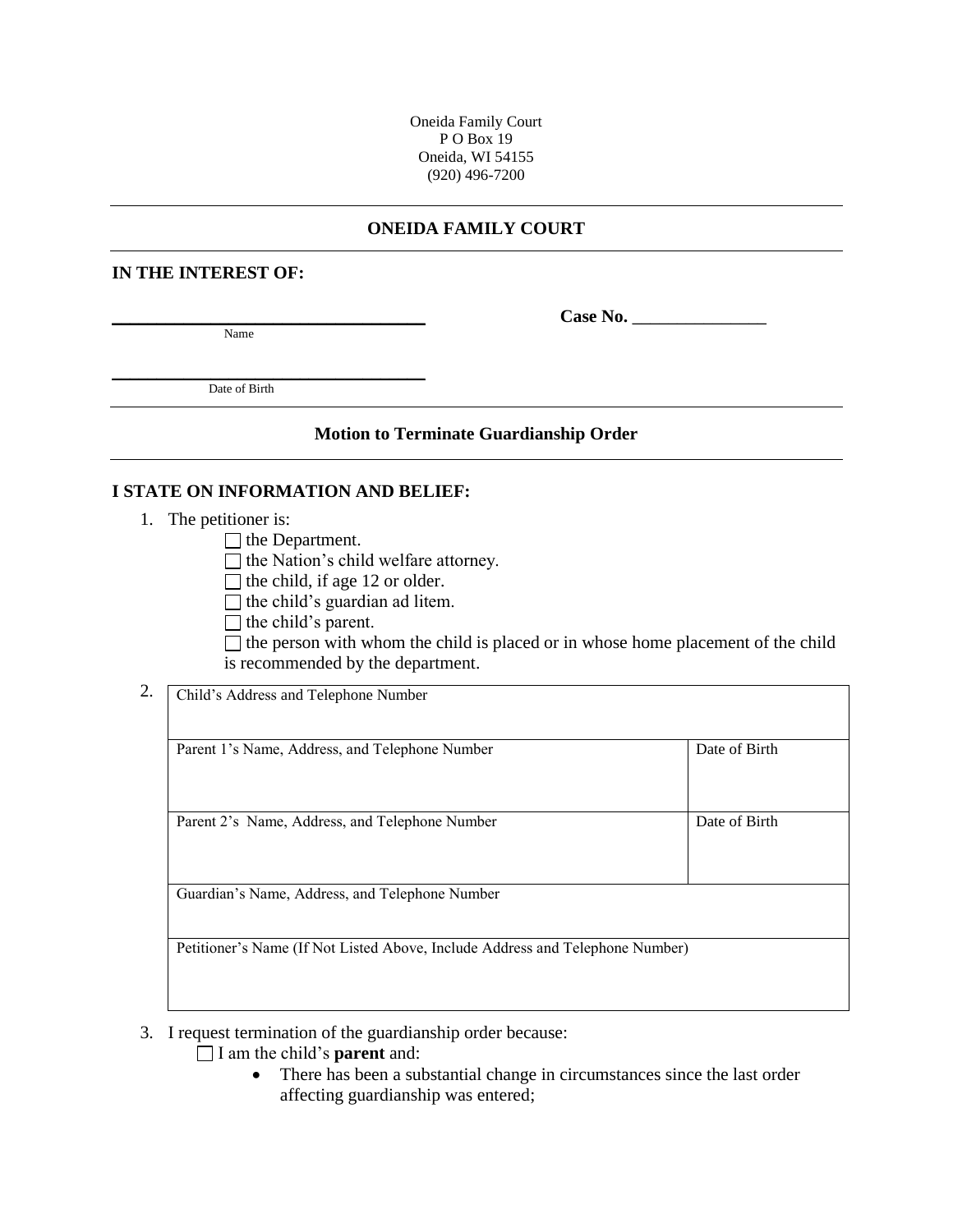### **ONEIDA FAMILY COURT**

#### **IN THE INTEREST OF:**

Name

**\_\_\_\_\_\_\_\_\_\_\_\_\_\_\_\_\_\_\_\_\_\_\_\_\_\_\_\_\_\_\_\_\_\_\_ Case No.** \_\_\_\_\_\_\_\_\_\_\_\_\_\_\_

\_\_\_\_\_\_\_\_\_\_\_\_\_\_\_\_\_\_\_\_\_\_\_\_\_\_\_\_\_\_\_\_\_\_\_ Date of Birth

#### **Motion to Terminate Guardianship Order**

#### **I STATE ON INFORMATION AND BELIEF:**

1. The petitioner is:

 $\Box$  the Department.

 $\Box$  the Nation's child welfare attorney.

 $\Box$  the child, if age 12 or older.

 $\Box$  the child's guardian ad litem.

 $\Box$  the child's parent.

 $\Box$  the person with whom the child is placed or in whose home placement of the child is recommended by the department.

2. Child's Address and Telephone Number

| Parent 1's Name, Address, and Telephone Number                                | Date of Birth |
|-------------------------------------------------------------------------------|---------------|
|                                                                               |               |
| Parent 2's Name, Address, and Telephone Number                                | Date of Birth |
| Guardian's Name, Address, and Telephone Number                                |               |
|                                                                               |               |
| Petitioner's Name (If Not Listed Above, Include Address and Telephone Number) |               |

- 3. I request termination of the guardianship order because:
	- I am the child's **parent** and:
		- There has been a substantial change in circumstances since the last order affecting guardianship was entered;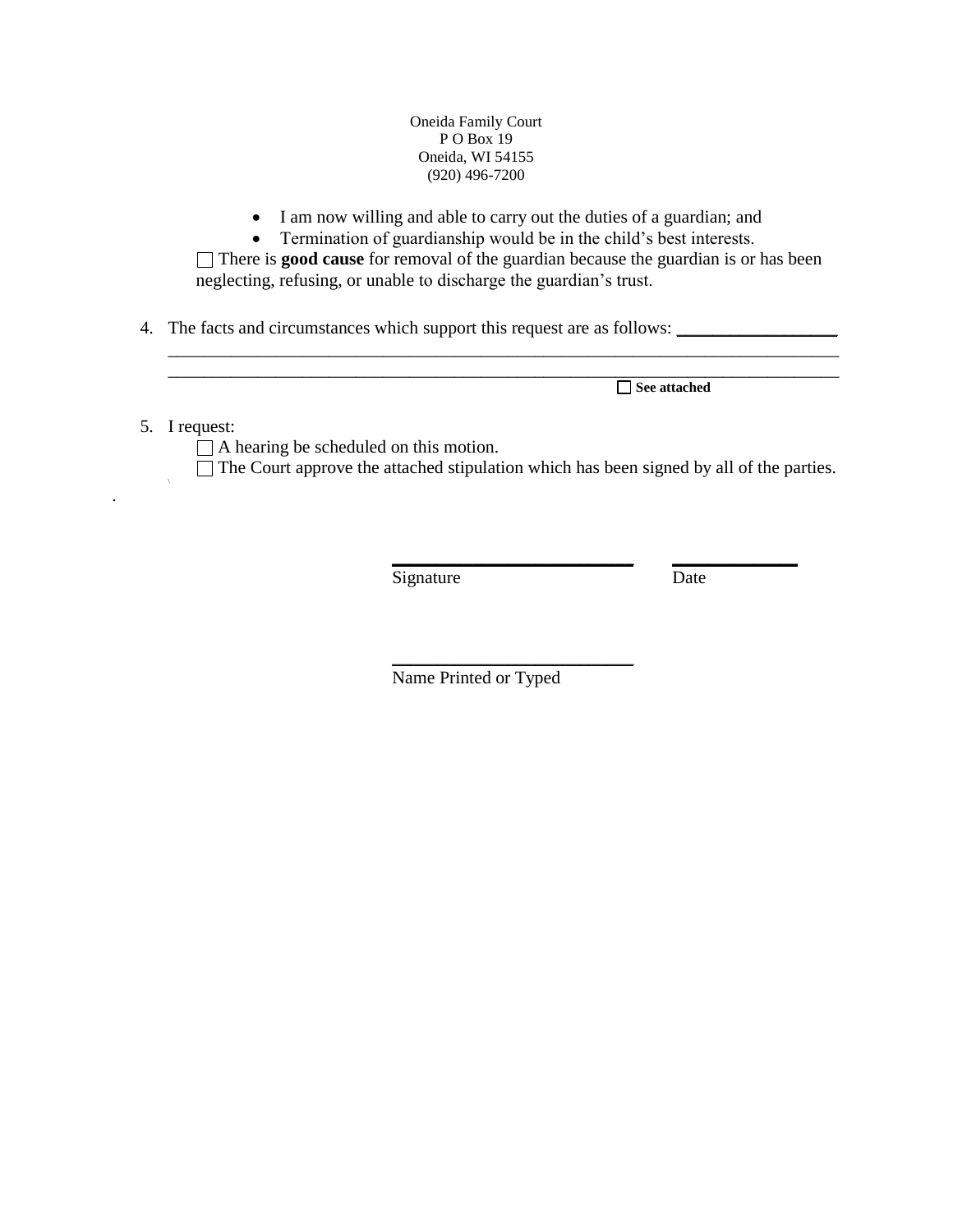• I am now willing and able to carry out the duties of a guardian; and

• Termination of guardianship would be in the child's best interests. There is **good cause** for removal of the guardian because the guardian is or has been neglecting, refusing, or unable to discharge the guardian's trust.

\_\_\_\_\_\_\_\_\_\_\_\_\_\_\_\_\_\_\_\_\_\_\_\_\_\_\_\_\_\_\_\_\_\_\_\_\_\_\_\_\_\_\_\_\_\_\_\_\_\_\_\_\_\_\_\_\_\_\_\_\_\_\_\_\_\_\_\_\_\_\_\_\_\_\_

4. The facts and circumstances which support this request are as follows:

\_\_\_\_\_\_\_\_\_\_\_\_\_\_\_\_\_\_\_\_\_\_\_\_\_\_\_\_\_\_\_\_\_\_\_\_\_\_\_\_\_\_\_\_\_\_\_\_\_\_\_\_\_\_\_\_\_\_\_\_\_\_\_\_\_\_\_\_\_\_\_\_\_\_\_ **See attached**

5. I request:

 $\mathbf{r}$ 

.

 $\Box$  A hearing be scheduled on this motion.  $\Box$  The Court approve the attached stipulation which has been signed by all of the parties.

> **\_\_\_\_\_\_\_\_\_\_\_\_\_\_\_\_\_\_\_\_\_\_\_\_\_\_\_ \_\_\_\_\_\_\_\_\_\_\_\_\_\_** Signature Date

Name Printed or Typed

\_\_\_\_\_\_\_\_\_\_\_\_\_\_\_\_\_\_\_\_\_\_\_\_\_\_\_